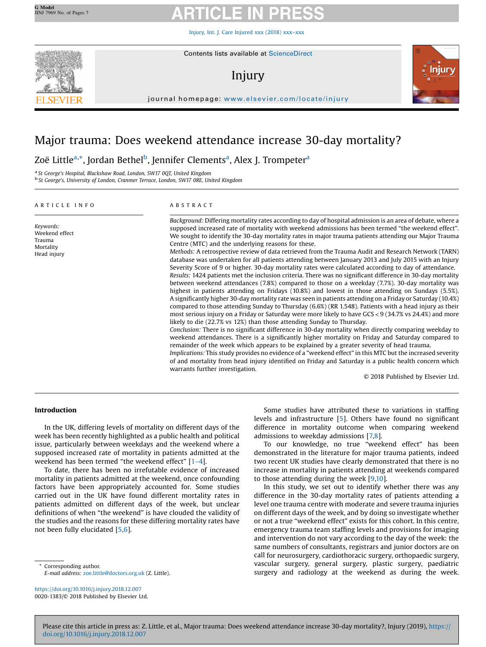Injury, Int. J. Care [Injured](https://doi.org/10.1016/j.injury.2018.12.007) xxx (2018) xxx–xxx



# Injury



journal homepage: <www.elsevier.com/locate/injury>/ $\mathcal{N}$ 

# Major trauma: Does weekend attendance increase 30-day mortality?

Zoë Little<sup>a,</sup>\*, Jordan Bethel<sup>b</sup>, Jennifer Clements<sup>a</sup>, Alex J. Trompeter<sup>a</sup>

<sup>a</sup> St George's Hospital, Blackshaw Road, London, SW17 0QT, United Kingdom b St George's, University of London, Cranmer Terrace, London, SW17 0RE, United Kingdom

## A R T I C L E I N F O

# A B S T R A C T

Keywords: Weekend effect Trauma Mortality Head injury Background: Differing mortality rates according to day of hospital admission is an area of debate, where a supposed increased rate of mortality with weekend admissions has been termed "the weekend effect". We sought to identify the 30-day mortality rates in major trauma patients attending our Major Trauma Centre (MTC) and the underlying reasons for these. Methods: A retrospective review of data retrieved from the Trauma Audit and Research Network (TARN) database was undertaken for all patients attending between January 2013 and July 2015 with an Injury Severity Score of 9 or higher. 30-day mortality rates were calculated according to day of attendance. Results: 1424 patients met the inclusion criteria. There was no significant difference in 30-day mortality between weekend attendances (7.8%) compared to those on a weekday (7.7%). 30-day mortality was highest in patients attending on Fridays (10.8%) and lowest in those attending on Sundays (5.5%). A significantly higher 30-day mortality rate was seen in patients attending on a Friday or Saturday (10.4%) compared to those attending Sunday to Thursday (6.6%) (RR 1.548). Patients with a head injury as their most serious injury on a Friday or Saturday were more likely to have GCS<9 (34.7% vs 24.4%) and more likely to die (22.7% vs 12%) than those attending Sunday to Thursday. Conclusion: There is no significant difference in 30-day mortality when directly comparing weekday to weekend attendances. There is a significantly higher mortality on Friday and Saturday compared to remainder of the week which appears to be explained by a greater severity of head trauma. Implications: This study provides no evidence of a "weekend effect" in this MTC but the increased severity of and mortality from head injury identified on Friday and Saturday is a public health concern which warrants further investigation.

© 2018 Published by Elsevier Ltd.

### Introduction

In the UK, differing levels of mortality on different days of the week has been recently highlighted as a public health and political issue, particularly between weekdays and the weekend where a supposed increased rate of mortality in patients admitted at the weekend has been termed "the weekend effect" [\[1](#page-6-0)–4].

To date, there has been no irrefutable evidence of increased mortality in patients admitted at the weekend, once confounding factors have been appropriately accounted for. Some studies carried out in the UK have found different mortality rates in patients admitted on different days of the week, but unclear definitions of when "the weekend" is have clouded the validity of the studies and the reasons for these differing mortality rates have not been fully elucidated [[5](#page-6-0),[6](#page-6-0)].

Corresponding author. E-mail address: [zoe.little@doctors.org.uk](mailto:zoe.little@doctors.org.uk) (Z. Little).

<https://doi.org/10.1016/j.injury.2018.12.007> 0020-1383/© 2018 Published by Elsevier Ltd.

Some studies have attributed these to variations in staffing levels and infrastructure [\[5](#page-6-0)]. Others have found no significant difference in mortality outcome when comparing weekend admissions to weekday admissions [\[7,8\]](#page-6-0).

To our knowledge, no true "weekend effect" has been demonstrated in the literature for major trauma patients, indeed two recent UK studies have clearly demonstrated that there is no increase in mortality in patients attending at weekends compared to those attending during the week [\[9,10](#page-6-0)].

In this study, we set out to identify whether there was any difference in the 30-day mortality rates of patients attending a level one trauma centre with moderate and severe trauma injuries on different days of the week, and by doing so investigate whether or not a true "weekend effect" exists for this cohort. In this centre, emergency trauma team staffing levels and provisions for imaging and intervention do not vary according to the day of the week: the same numbers of consultants, registrars and junior doctors are on call for neurosurgery, cardiothoracic surgery, orthopaedic surgery, vascular surgery, general surgery, plastic surgery, paediatric surgery and radiology at the weekend as during the week.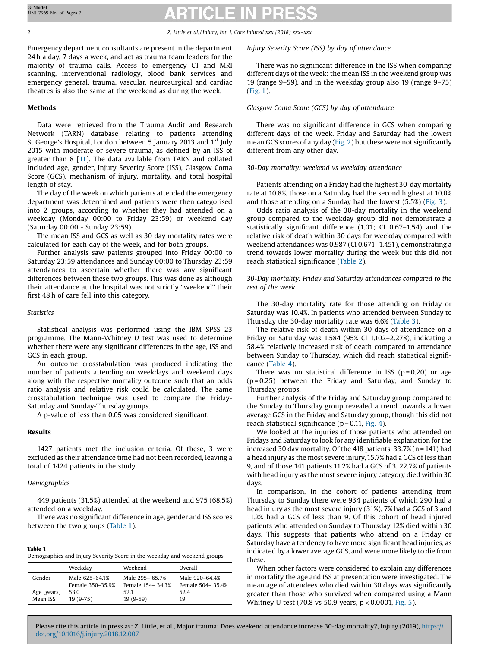2 2 Z. Little et al. / Injury, Int. J. Care Injured xxx (2018) xxx–xxx

Emergency department consultants are present in the department 24 h a day, 7 days a week, and act as trauma team leaders for the majority of trauma calls. Access to emergency CT and MRI scanning, interventional radiology, blood bank services and emergency general, trauma, vascular, neurosurgical and cardiac theatres is also the same at the weekend as during the week.

# Methods

Data were retrieved from the Trauma Audit and Research Network (TARN) database relating to patients attending St George's Hospital, London between 5 January 2013 and 1<sup>st</sup> July 2015 with moderate or severe trauma, as defined by an ISS of greater than 8 [\[11](#page-6-0)]. The data available from TARN and collated included age, gender, Injury Severity Score (ISS), Glasgow Coma Score (GCS), mechanism of injury, mortality, and total hospital length of stay.

The day of the week on which patients attended the emergency department was determined and patients were then categorised into 2 groups, according to whether they had attended on a weekday (Monday 00:00 to Friday 23:59) or weekend day (Saturday 00:00 - Sunday 23:59).

The mean ISS and GCS as well as 30 day mortality rates were calculated for each day of the week, and for both groups.

Further analysis saw patients grouped into Friday 00:00 to Saturday 23:59 attendances and Sunday 00:00 to Thursday 23:59 attendances to ascertain whether there was any significant differences between these two groups. This was done as although their attendance at the hospital was not strictly "weekend" their first 48 h of care fell into this category.

## **Statistics**

Statistical analysis was performed using the IBM SPSS 23 programme. The Mann-Whitney U test was used to determine whether there were any significant differences in the age, ISS and GCS in each group.

An outcome crosstabulation was produced indicating the number of patients attending on weekdays and weekend days along with the respective mortality outcome such that an odds ratio analysis and relative risk could be calculated. The same crosstabulation technique was used to compare the Friday-Saturday and Sunday-Thursday groups.

A p-value of less than 0.05 was considered significant.

## Results

1427 patients met the inclusion criteria. Of these, 3 were excluded as their attendance time had not been recorded, leaving a total of 1424 patients in the study.

# Demographics

449 patients (31.5%) attended at the weekend and 975 (68.5%) attended on a weekday.

There was no significant difference in age, gender and ISS scores between the two groups (Table 1).

# Table 1 Demographics and Injury Severity Score in the weekday and weekend groups.

|             | Weekday          | Weekend            | Overall          |
|-------------|------------------|--------------------|------------------|
| Gender      | Male 625-64.1%   | Male 295-65.7%     | Male 920-64.4%   |
|             | Female 350-35.9% | Female 154 - 34.3% | Female 504-35.4% |
| Age (years) | 53.0             | 52.1               | 52.4             |
| Mean ISS    | $19(9-75)$       | $19(9-59)$         | 19               |

Injury Severity Score (ISS) by day of attendance

There was no significant difference in the ISS when comparing different days of the week: the mean ISS in the weekend group was 19 (range 9–59), and in the weekday group also 19 (range 9–75) ([Fig.](#page-2-0) 1).

# Glasgow Coma Score (GCS) by day of attendance

There was no significant difference in GCS when comparing different days of the week. Friday and Saturday had the lowest mean GCS scores of any day ([Fig.](#page-2-0) 2) but these were not significantly different from any other day.

# 30-Day mortality: weekend vs weekday attendance

Patients attending on a Friday had the highest 30-day mortality rate at 10.8%, those on a Saturday had the second highest at 10.0% and those attending on a Sunday had the lowest (5.5%) [\(Fig.](#page-3-0) 3).

Odds ratio analysis of the 30-day mortality in the weekend group compared to the weekday group did not demonstrate a statistically significant difference (1.01; CI 0.67–1.54) and the relative risk of death within 30 days for weekday compared with weekend attendances was 0.987 (CI 0.671–1.451), demonstrating a trend towards lower mortality during the week but this did not reach statistical significance ([Table](#page-3-0) 2).

30-Day mortality: Friday and Saturday attendances compared to the rest of the week

The 30-day mortality rate for those attending on Friday or Saturday was 10.4%. In patients who attended between Sunday to Thursday the 30-day mortality rate was 6.6% ([Table](#page-3-0) 3).

The relative risk of death within 30 days of attendance on a Friday or Saturday was 1.584 (95% CI 1.102–2.278), indicating a 58.4% relatively increased risk of death compared to attendance between Sunday to Thursday, which did reach statistical significance [\(Table](#page-3-0) 4).

There was no statistical difference in ISS ( $p = 0.20$ ) or age  $(p = 0.25)$  between the Friday and Saturday, and Sunday to Thursday groups.

Further analysis of the Friday and Saturday group compared to the Sunday to Thursday group revealed a trend towards a lower average GCS in the Friday and Saturday group, though this did not reach statistical significance ( $p = 0.11$ , [Fig.](#page-4-0) 4).

We looked at the injuries of those patients who attended on Fridays and Saturday to look for any identifiable explanation for the increased 30 day mortality. Of the 418 patients, 33.7% (n = 141) had a head injury as the most severe injury,15.7% had a GCS of less than 9, and of those 141 patients 11.2% had a GCS of 3. 22.7% of patients with head injury as the most severe injury category died within 30 days.

In comparison, in the cohort of patients attending from Thursday to Sunday there were 934 patients of which 290 had a head injury as the most severe injury (31%). 7% had a GCS of 3 and 11.2% had a GCS of less than 9. Of this cohort of head injured patients who attended on Sunday to Thursday 12% died within 30 days. This suggests that patients who attend on a Friday or Saturday have a tendency to have more significant head injuries, as indicated by a lower average GCS, and were more likely to die from these.

When other factors were considered to explain any differences in mortality the age and ISS at presentation were investigated. The mean age of attendees who died within 30 days was significantly greater than those who survived when compared using a Mann Whitney U test (70.8 vs 50.9 years,  $p < 0.0001$ , [Fig.](#page-4-0) 5).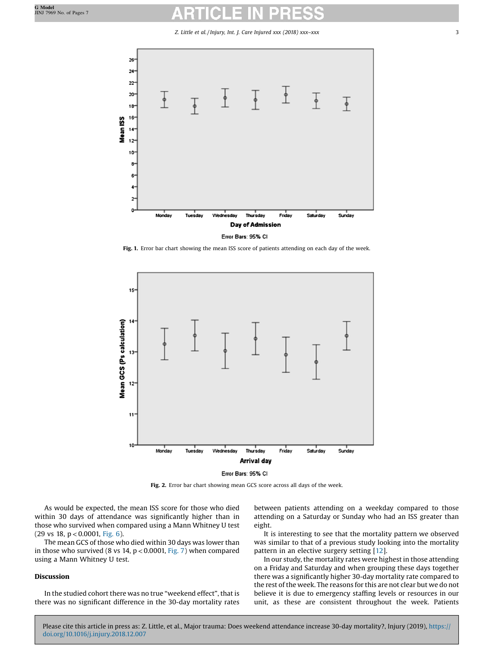Z. Little et al. / Injury, Int. J. Care Injured xxx (2018) xxx–xxx 3

<span id="page-2-0"></span>

Fig. 1. Error bar chart showing the mean ISS score of patients attending on each day of the week.



Error Bars: 95% CI

Fig. 2. Error bar chart showing mean GCS score across all days of the week.

As would be expected, the mean ISS score for those who died within 30 days of attendance was significantly higher than in those who survived when compared using a Mann Whitney U test  $(29 \text{ vs } 18, \text{ p} < 0.0001, \text{ Fig. 6}).$  $(29 \text{ vs } 18, \text{ p} < 0.0001, \text{ Fig. 6}).$  $(29 \text{ vs } 18, \text{ p} < 0.0001, \text{ Fig. 6}).$ 

The mean GCS of those who died within 30 days was lower than in those who survived (8 vs 14,  $p < 0.0001$ , [Fig.](#page-5-0) 7) when compared using a Mann Whitney U test.

# Discussion

In the studied cohort there was no true "weekend effect", that is there was no significant difference in the 30-day mortality rates between patients attending on a weekday compared to those attending on a Saturday or Sunday who had an ISS greater than eight.

It is interesting to see that the mortality pattern we observed was similar to that of a previous study looking into the mortality pattern in an elective surgery setting [\[12\]](#page-6-0).

In our study, the mortality rates were highest in those attending on a Friday and Saturday and when grouping these days together there was a significantly higher 30-day mortality rate compared to the rest of the week. The reasons for this are not clear but we do not believe it is due to emergency staffing levels or resources in our unit, as these are consistent throughout the week. Patients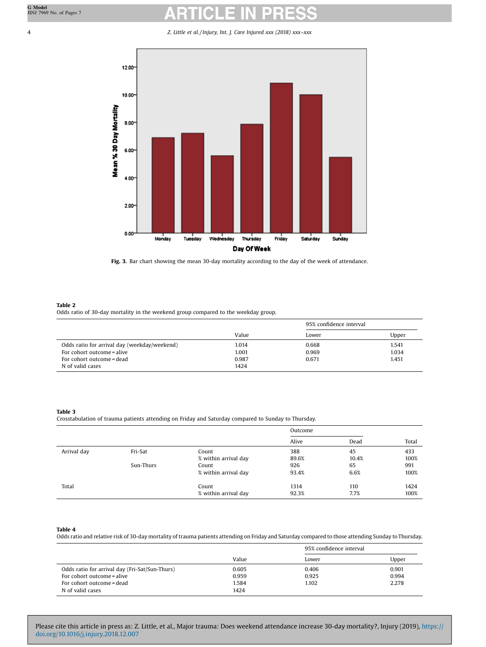# <span id="page-3-0"></span>4 Z. Little et al. / Injury, Int. J. Care Injured xxx (2018) xxx–xxx



Fig. 3. Bar chart showing the mean 30-day mortality according to the day of the week of attendance.

### Table 2

Odds ratio of 30-day mortality in the weekend group compared to the weekday group.

|                                              | 95% confidence interval |       |       |
|----------------------------------------------|-------------------------|-------|-------|
|                                              | Value                   | Lower | Upper |
| Odds ratio for arrival day (weekday/weekend) | 1.014                   | 0.668 | 1.541 |
| For cohort outcome = alive                   | 1.001                   | 0.969 | 1.034 |
| For cohort outcome = dead                    | 0.987                   | 0.671 | 1.451 |
| N of valid cases                             | 1424                    |       |       |

### Table 3

Crosstabulation of trauma patients attending on Friday and Saturday compared to Sunday to Thursday.

|             |           |                      | Outcome |       |       |
|-------------|-----------|----------------------|---------|-------|-------|
|             |           |                      | Alive   | Dead  | Total |
| Arrival day | Fri-Sat   | Count                | 388     | 45    | 433   |
|             |           | % within arrival day | 89.6%   | 10.4% | 100%  |
|             | Sun-Thurs | Count                | 926     | 65    | 991   |
|             |           | % within arrival day | 93.4%   | 6.6%  | 100%  |
| Total       |           | Count                | 1314    | 110   | 1424  |
|             |           | % within arrival day | 92.3%   | 7.7%  | 100%  |

### Table 4

Odds ratio and relative risk of 30-day mortality of trauma patients attending on Friday and Saturday compared to those attending Sunday toThursday.

|                                                |       | 95% confidence interval |       |
|------------------------------------------------|-------|-------------------------|-------|
|                                                | Value | Lower                   | Upper |
| Odds ratio for arrival day (Fri-Sat/Sun-Thurs) | 0.605 | 0.406                   | 0.901 |
| For cohort outcome = alive                     | 0.959 | 0.925                   | 0.994 |
| For cohort outcome = dead                      | 1.584 | 1.102                   | 2.278 |
| N of valid cases                               | 1424  |                         |       |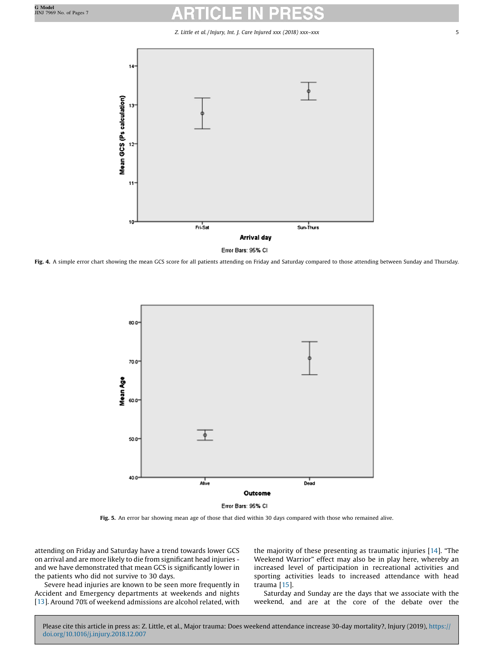# Z. Little et al. / Injury, Int. J. Care Injured xxx (2018) xxx–xxx 5

<span id="page-4-0"></span>

Error Bars: 95% CI

Fig. 4. A simple error chart showing the mean GCS score for all patients attending on Friday and Saturday compared to those attending between Sunday and Thursday.



Fig. 5. An error bar showing mean age of those that died within 30 days compared with those who remained alive.

attending on Friday and Saturday have a trend towards lower GCS on arrival and are more likely to die from significant head injuries and we have demonstrated that mean GCS is significantly lower in the patients who did not survive to 30 days.

Severe head injuries are known to be seen more frequently in Accident and Emergency departments at weekends and nights [[13](#page-6-0)]. Around 70% of weekend admissions are alcohol related, with the majority of these presenting as traumatic injuries [[14\]](#page-6-0). "The Weekend Warrior" effect may also be in play here, whereby an increased level of participation in recreational activities and sporting activities leads to increased attendance with head trauma [\[15\]](#page-6-0).

Saturday and Sunday are the days that we associate with the weekend, and are at the core of the debate over the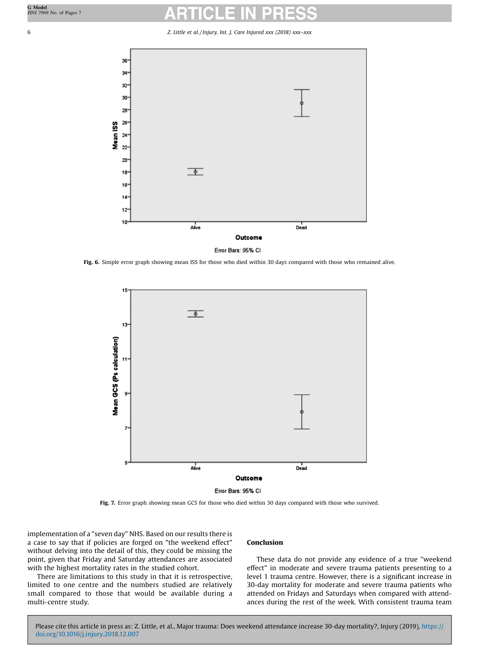<span id="page-5-0"></span>6 Z. Little et al. / Injury, Int. J. Care Injured xxx (2018) xxx–xxx



Error Bars: 95% CI

Fig. 6. Simple error graph showing mean ISS for those who died within 30 days compared with those who remained alive.



Error Bars: 95% CI

Fig. 7. Error graph showing mean GCS for those who died within 30 days compared with those who survived.

implementation of a "seven day" NHS. Based on our results there is a case to say that if policies are forged on "the weekend effect" without delving into the detail of this, they could be missing the point, given that Friday and Saturday attendances are associated with the highest mortality rates in the studied cohort.

There are limitations to this study in that it is retrospective, limited to one centre and the numbers studied are relatively small compared to those that would be available during a multi-centre study.

# Conclusion

These data do not provide any evidence of a true "weekend effect" in moderate and severe trauma patients presenting to a level 1 trauma centre. However, there is a significant increase in 30-day mortality for moderate and severe trauma patients who attended on Fridays and Saturdays when compared with attendances during the rest of the week. With consistent trauma team